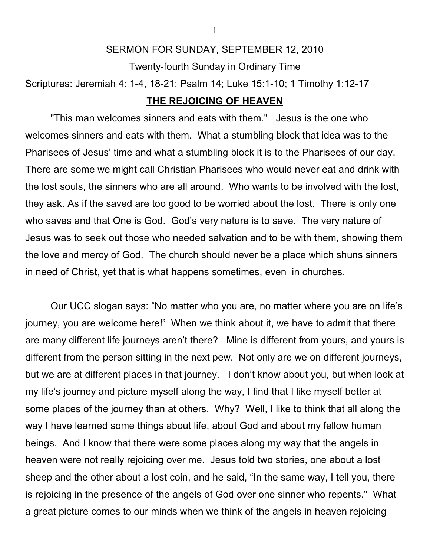## SERMON FOR SUNDAY, SEPTEMBER 12, 2010

Twenty-fourth Sunday in Ordinary Time

Scriptures: Jeremiah 4: 1-4, 18-21; Psalm 14; Luke 15:1-10; 1 Timothy 1:12-17

## **THE REJOICING OF HEAVEN**

"This man welcomes sinners and eats with them." Jesus is the one who welcomes sinners and eats with them. What a stumbling block that idea was to the Pharisees of Jesus' time and what a stumbling block it is to the Pharisees of our day. There are some we might call Christian Pharisees who would never eat and drink with the lost souls, the sinners who are all around. Who wants to be involved with the lost, they ask. As if the saved are too good to be worried about the lost. There is only one who saves and that One is God. God's very nature is to save. The very nature of Jesus was to seek out those who needed salvation and to be with them, showing them the love and mercy of God. The church should never be a place which shuns sinners in need of Christ, yet that is what happens sometimes, even in churches.

Our UCC slogan says: "No matter who you are, no matter where you are on life's journey, you are welcome here!" When we think about it, we have to admit that there are many different life journeys aren't there? Mine is different from yours, and yours is different from the person sitting in the next pew. Not only are we on different journeys, but we are at different places in that journey. I don't know about you, but when look at my life's journey and picture myself along the way, I find that I like myself better at some places of the journey than at others. Why? Well, I like to think that all along the way I have learned some things about life, about God and about my fellow human beings. And I know that there were some places along my way that the angels in heaven were not really rejoicing over me. Jesus told two stories, one about a lost sheep and the other about a lost coin, and he said, "In the same way, I tell you, there is rejoicing in the presence of the angels of God over one sinner who repents." What a great picture comes to our minds when we think of the angels in heaven rejoicing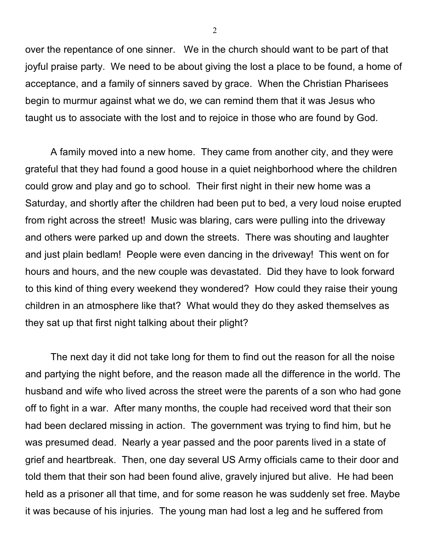over the repentance of one sinner. We in the church should want to be part of that joyful praise party. We need to be about giving the lost a place to be found, a home of acceptance, and a family of sinners saved by grace. When the Christian Pharisees begin to murmur against what we do, we can remind them that it was Jesus who taught us to associate with the lost and to rejoice in those who are found by God.

A family moved into a new home. They came from another city, and they were grateful that they had found a good house in a quiet neighborhood where the children could grow and play and go to school. Their first night in their new home was a Saturday, and shortly after the children had been put to bed, a very loud noise erupted from right across the street! Music was blaring, cars were pulling into the driveway and others were parked up and down the streets. There was shouting and laughter and just plain bedlam! People were even dancing in the driveway! This went on for hours and hours, and the new couple was devastated. Did they have to look forward to this kind of thing every weekend they wondered? How could they raise their young children in an atmosphere like that? What would they do they asked themselves as they sat up that first night talking about their plight?

The next day it did not take long for them to find out the reason for all the noise and partying the night before, and the reason made all the difference in the world. The husband and wife who lived across the street were the parents of a son who had gone off to fight in a war. After many months, the couple had received word that their son had been declared missing in action. The government was trying to find him, but he was presumed dead. Nearly a year passed and the poor parents lived in a state of grief and heartbreak. Then, one day several US Army officials came to their door and told them that their son had been found alive, gravely injured but alive. He had been held as a prisoner all that time, and for some reason he was suddenly set free. Maybe it was because of his injuries. The young man had lost a leg and he suffered from

2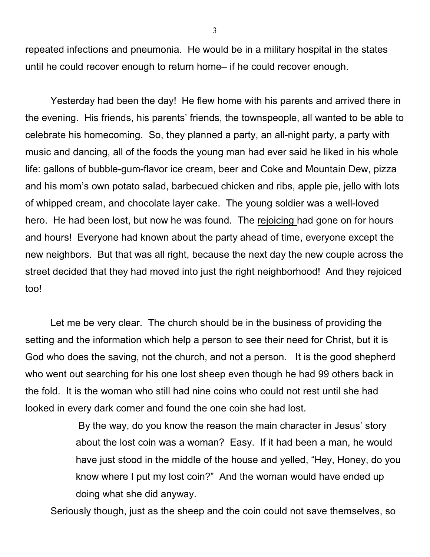repeated infections and pneumonia. He would be in a military hospital in the states until he could recover enough to return home– if he could recover enough.

Yesterday had been the day! He flew home with his parents and arrived there in the evening. His friends, his parents' friends, the townspeople, all wanted to be able to celebrate his homecoming. So, they planned a party, an all-night party, a party with music and dancing, all of the foods the young man had ever said he liked in his whole life: gallons of bubble-gum-flavor ice cream, beer and Coke and Mountain Dew, pizza and his mom's own potato salad, barbecued chicken and ribs, apple pie, jello with lots of whipped cream, and chocolate layer cake. The young soldier was a well-loved hero. He had been lost, but now he was found. The rejoicing had gone on for hours and hours! Everyone had known about the party ahead of time, everyone except the new neighbors. But that was all right, because the next day the new couple across the street decided that they had moved into just the right neighborhood! And they rejoiced too!

Let me be very clear. The church should be in the business of providing the setting and the information which help a person to see their need for Christ, but it is God who does the saving, not the church, and not a person. It is the good shepherd who went out searching for his one lost sheep even though he had 99 others back in the fold. It is the woman who still had nine coins who could not rest until she had looked in every dark corner and found the one coin she had lost.

> By the way, do you know the reason the main character in Jesus' story about the lost coin was a woman? Easy. If it had been a man, he would have just stood in the middle of the house and yelled, "Hey, Honey, do you know where I put my lost coin?" And the woman would have ended up doing what she did anyway.

Seriously though, just as the sheep and the coin could not save themselves, so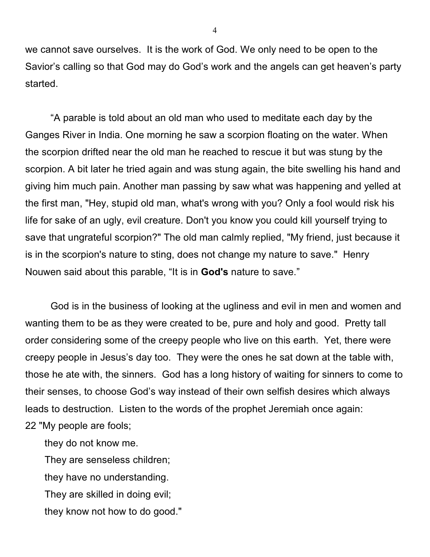we cannot save ourselves. It is the work of God. We only need to be open to the Savior's calling so that God may do God's work and the angels can get heaven's party started.

"A parable is told about an old man who used to meditate each day by the Ganges River in India. One morning he saw a scorpion floating on the water. When the scorpion drifted near the old man he reached to rescue it but was stung by the scorpion. A bit later he tried again and was stung again, the bite swelling his hand and giving him much pain. Another man passing by saw what was happening and yelled at the first man, "Hey, stupid old man, what's wrong with you? Only a fool would risk his life for sake of an ugly, evil creature. Don't you know you could kill yourself trying to save that ungrateful scorpion?" The old man calmly replied, "My friend, just because it is in the scorpion's nature to sting, does not change my nature to save." Henry Nouwen said about this parable, "It is in **God's** nature to save."

God is in the business of looking at the ugliness and evil in men and women and wanting them to be as they were created to be, pure and holy and good. Pretty tall order considering some of the creepy people who live on this earth. Yet, there were creepy people in Jesus's day too. They were the ones he sat down at the table with, those he ate with, the sinners. God has a long history of waiting for sinners to come to their senses, to choose God's way instead of their own selfish desires which always leads to destruction. Listen to the words of the prophet Jeremiah once again:

22 "My people are fools;

they do not know me.

 They are senseless children; they have no understanding. They are skilled in doing evil; they know not how to do good."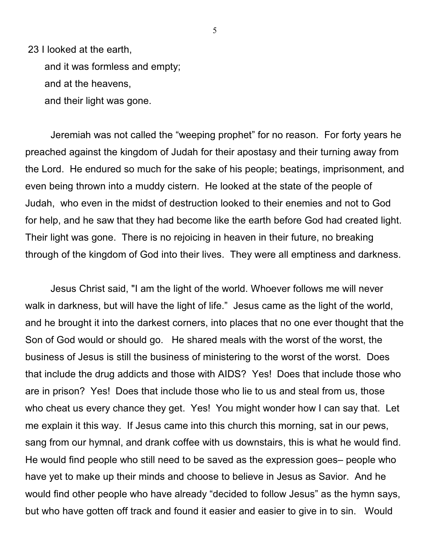23 I looked at the earth,

 and it was formless and empty; and at the heavens, and their light was gone.

Jeremiah was not called the "weeping prophet" for no reason. For forty years he preached against the kingdom of Judah for their apostasy and their turning away from the Lord. He endured so much for the sake of his people; beatings, imprisonment, and even being thrown into a muddy cistern. He looked at the state of the people of Judah, who even in the midst of destruction looked to their enemies and not to God for help, and he saw that they had become like the earth before God had created light. Their light was gone. There is no rejoicing in heaven in their future, no breaking through of the kingdom of God into their lives. They were all emptiness and darkness.

Jesus Christ said, "I am the light of the world. Whoever follows me will never walk in darkness, but will have the light of life." Jesus came as the light of the world, and he brought it into the darkest corners, into places that no one ever thought that the Son of God would or should go. He shared meals with the worst of the worst, the business of Jesus is still the business of ministering to the worst of the worst. Does that include the drug addicts and those with AIDS? Yes! Does that include those who are in prison? Yes! Does that include those who lie to us and steal from us, those who cheat us every chance they get. Yes! You might wonder how I can say that. Let me explain it this way. If Jesus came into this church this morning, sat in our pews, sang from our hymnal, and drank coffee with us downstairs, this is what he would find. He would find people who still need to be saved as the expression goes– people who have yet to make up their minds and choose to believe in Jesus as Savior. And he would find other people who have already "decided to follow Jesus" as the hymn says, but who have gotten off track and found it easier and easier to give in to sin. Would

5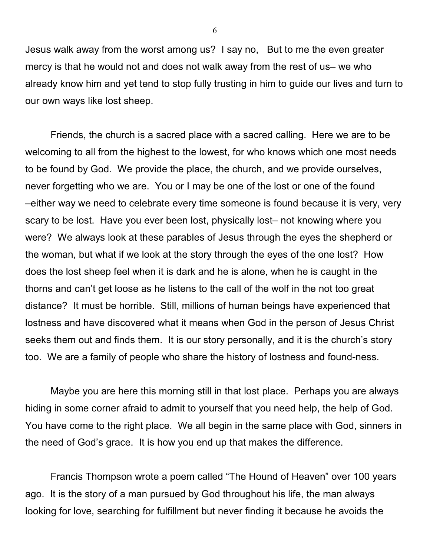Jesus walk away from the worst among us? I say no, But to me the even greater mercy is that he would not and does not walk away from the rest of us– we who already know him and yet tend to stop fully trusting in him to guide our lives and turn to our own ways like lost sheep.

Friends, the church is a sacred place with a sacred calling. Here we are to be welcoming to all from the highest to the lowest, for who knows which one most needs to be found by God. We provide the place, the church, and we provide ourselves, never forgetting who we are. You or I may be one of the lost or one of the found –either way we need to celebrate every time someone is found because it is very, very scary to be lost. Have you ever been lost, physically lost– not knowing where you were? We always look at these parables of Jesus through the eyes the shepherd or the woman, but what if we look at the story through the eyes of the one lost? How does the lost sheep feel when it is dark and he is alone, when he is caught in the thorns and can't get loose as he listens to the call of the wolf in the not too great distance? It must be horrible. Still, millions of human beings have experienced that lostness and have discovered what it means when God in the person of Jesus Christ seeks them out and finds them. It is our story personally, and it is the church's story too. We are a family of people who share the history of lostness and found-ness.

Maybe you are here this morning still in that lost place. Perhaps you are always hiding in some corner afraid to admit to yourself that you need help, the help of God. You have come to the right place. We all begin in the same place with God, sinners in the need of God's grace. It is how you end up that makes the difference.

Francis Thompson wrote a poem called "The Hound of Heaven" over 100 years ago. It is the story of a man pursued by God throughout his life, the man always looking for love, searching for fulfillment but never finding it because he avoids the

6